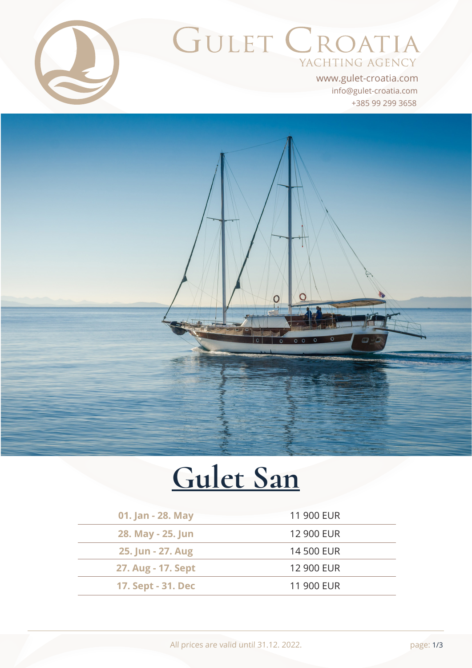

# GULET CROATIA YACHTING AGENCY

+385 99 299 3658 info@gulet-croatia.com www.gulet-croatia.com



# **[Gulet San](https://www.gulet-croatia.com/gulets-cruise-croatia/sy-san)**

| 01. Jan - 28. May  | 11 900 EUR |
|--------------------|------------|
| 28. May - 25. Jun  | 12 900 EUR |
| 25. Jun - 27. Aug  | 14 500 EUR |
| 27. Aug - 17. Sept | 12 900 EUR |
| 17. Sept - 31. Dec | 11 900 EUR |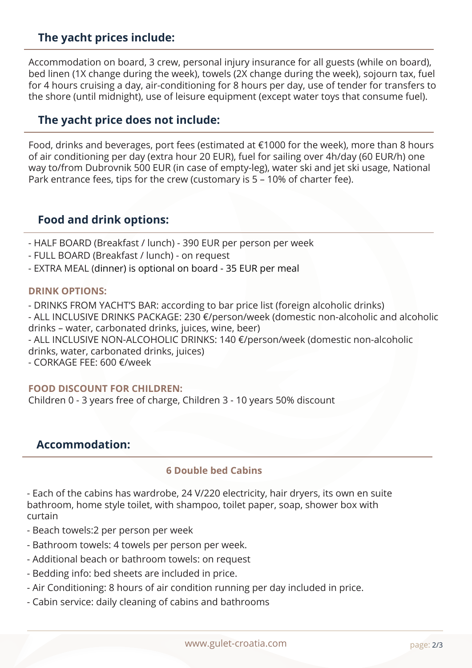# **The yacht prices include:**

Accommodation on board, 3 crew, personal injury insurance for all guests (while on board), bed linen (1X change during the week), towels (2X change during the week), sojourn tax, fuel for 4 hours cruising a day, air-conditioning for 8 hours per day, use of tender for transfers to the shore (until midnight), use of leisure equipment (except water toys that consume fuel).

#### **The yacht price does not include:**

Food, drinks and beverages, port fees (estimated at €1000 for the week), more than 8 hours of air conditioning per day (extra hour 20 EUR), fuel for sailing over 4h/day (60 EUR/h) one way to/from Dubrovnik 500 EUR (in case of empty-leg), water ski and jet ski usage, National Park entrance fees, tips for the crew (customary is 5 – 10% of charter fee).

#### **Food and drink options:**

- HALF BOARD (Breakfast / lunch) - 390 EUR per person per week

- FULL BOARD (Breakfast / lunch) on request
- EXTRA MEAL (dinner) is optional on board 35 EUR per meal

#### **DRINK OPTIONS:**

- DRINKS FROM YACHT'S BAR: according to bar price list (foreign alcoholic drinks) - ALL INCLUSIVE DRINKS PACKAGE: 230 €/person/week (domestic non-alcoholic and alcoholic

drinks – water, carbonated drinks, juices, wine, beer)

- ALL INCLUSIVE NON-ALCOHOLIC DRINKS: 140 €/person/week (domestic non-alcoholic drinks, water, carbonated drinks, juices)

- CORKAGE FEE: 600 €/week

#### **FOOD DISCOUNT FOR CHILDREN:**

Children 0 - 3 years free of charge, Children 3 - 10 years 50% discount

#### **Accommodation:**

#### **6 Double bed Cabins**

- Each of the cabins has wardrobe, 24 V/220 electricity, hair dryers, its own en suite bathroom, home style toilet, with shampoo, toilet paper, soap, shower box with curtain

- Beach towels:2 per person per week
- Bathroom towels: 4 towels per person per week.
- Additional beach or bathroom towels: on request
- Bedding info: bed sheets are included in price.
- Air Conditioning: 8 hours of air condition running per day included in price.
- Cabin service: daily cleaning of cabins and bathrooms